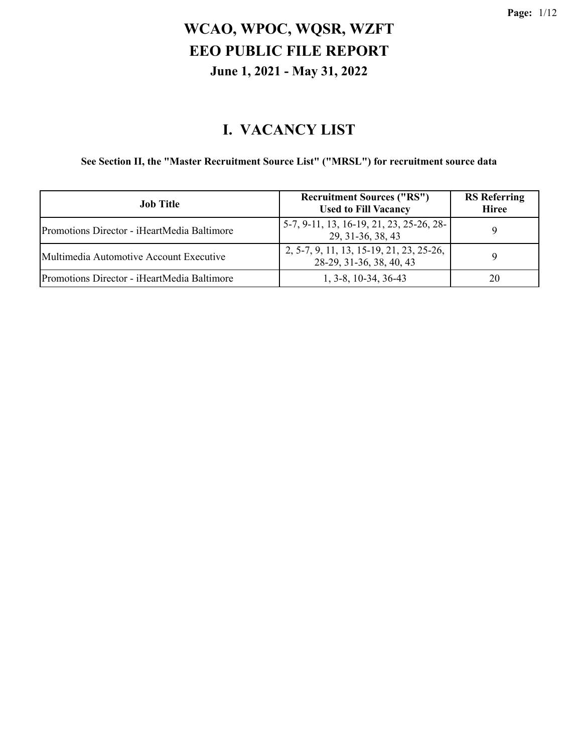#### **I. VACANCY LIST**

#### **See Section II, the "Master Recruitment Source List" ("MRSL") for recruitment source data**

| <b>Job Title</b>                            | <b>Recruitment Sources ("RS")</b><br><b>Used to Fill Vacancy</b>     | <b>RS</b> Referring<br><b>Hiree</b> |
|---------------------------------------------|----------------------------------------------------------------------|-------------------------------------|
| Promotions Director - iHeartMedia Baltimore | 5-7, 9-11, 13, 16-19, 21, 23, 25-26, 28-<br>29, 31-36, 38, 43        | Q                                   |
| Multimedia Automotive Account Executive     | 2, 5-7, 9, 11, 13, 15-19, 21, 23, 25-26,<br>28-29, 31-36, 38, 40, 43 | Q                                   |
| Promotions Director - iHeartMedia Baltimore | $1, 3-8, 10-34, 36-43$                                               | 20                                  |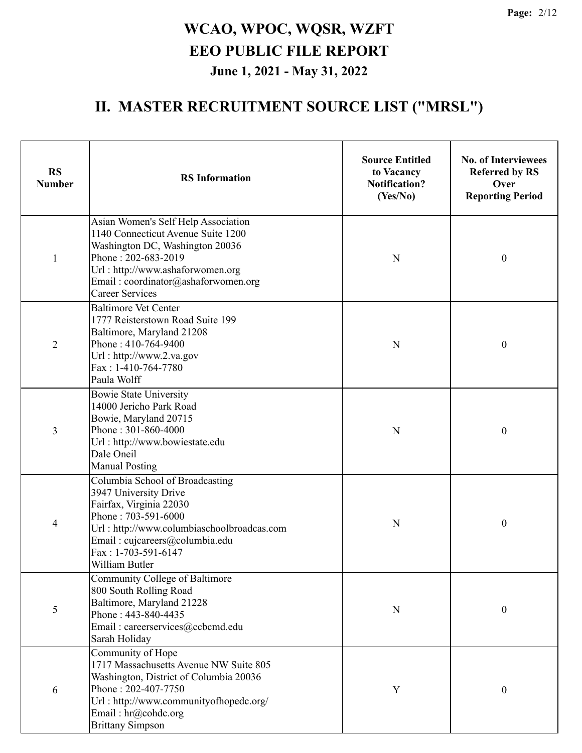| <b>RS</b><br><b>Number</b> | <b>Source Entitled</b><br>to Vacancy<br><b>RS</b> Information<br><b>Notification?</b><br>(Yes/No)                                                                                                                                        |   | <b>No. of Interviewees</b><br><b>Referred by RS</b><br>Over<br><b>Reporting Period</b> |  |
|----------------------------|------------------------------------------------------------------------------------------------------------------------------------------------------------------------------------------------------------------------------------------|---|----------------------------------------------------------------------------------------|--|
| $\mathbf{1}$               | Asian Women's Self Help Association<br>1140 Connecticut Avenue Suite 1200<br>Washington DC, Washington 20036<br>Phone: 202-683-2019<br>Url: http://www.ashaforwomen.org<br>Email: coordinator@ashaforwomen.org<br><b>Career Services</b> | N | $\boldsymbol{0}$                                                                       |  |
| $\overline{2}$             | <b>Baltimore Vet Center</b><br>1777 Reisterstown Road Suite 199<br>Baltimore, Maryland 21208<br>Phone: 410-764-9400<br>Url: http://www.2.va.gov<br>Fax: 1-410-764-7780<br>Paula Wolff                                                    | N | $\boldsymbol{0}$                                                                       |  |
| 3                          | <b>Bowie State University</b><br>14000 Jericho Park Road<br>Bowie, Maryland 20715<br>Phone: 301-860-4000<br>Url: http://www.bowiestate.edu<br>Dale Oneil<br><b>Manual Posting</b>                                                        | N | $\boldsymbol{0}$                                                                       |  |
| $\overline{4}$             | Columbia School of Broadcasting<br>3947 University Drive<br>Fairfax, Virginia 22030<br>Phone: 703-591-6000<br>Url: http://www.columbiaschoolbroadcas.com<br>Email: cujcareers@columbia.edu<br>Fax: 1-703-591-6147<br>William Butler      | N | $\boldsymbol{0}$                                                                       |  |
| 5                          | Community College of Baltimore<br>800 South Rolling Road<br>Baltimore, Maryland 21228<br>Phone: 443-840-4435<br>Email: careerservices@ccbcmd.edu<br>Sarah Holiday                                                                        | N | $\boldsymbol{0}$                                                                       |  |
| 6                          | Community of Hope<br>1717 Massachusetts Avenue NW Suite 805<br>Washington, District of Columbia 20036<br>Phone: 202-407-7750<br>Url: http://www.communityofhopedc.org/<br>Email: hr@cohdc.org<br><b>Brittany Simpson</b>                 | Y | $\boldsymbol{0}$                                                                       |  |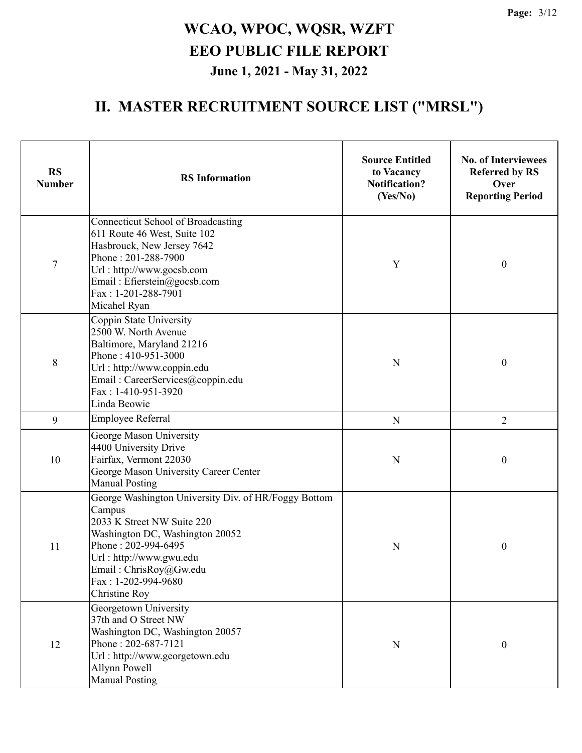| <b>RS</b><br><b>Number</b> | <b>RS</b> Information                                                                                                                                                                                                                               | <b>Source Entitled</b><br>to Vacancy<br><b>Notification?</b><br>(Yes/No) | <b>No. of Interviewees</b><br><b>Referred by RS</b><br>Over<br><b>Reporting Period</b> |
|----------------------------|-----------------------------------------------------------------------------------------------------------------------------------------------------------------------------------------------------------------------------------------------------|--------------------------------------------------------------------------|----------------------------------------------------------------------------------------|
| $\tau$                     | <b>Connecticut School of Broadcasting</b><br>611 Route 46 West, Suite 102<br>Hasbrouck, New Jersey 7642<br>Phone: 201-288-7900<br>Url: http://www.gocsb.com<br>Email: Efierstein@gocsb.com<br>Fax: 1-201-288-7901<br>Micahel Ryan                   | Y                                                                        | $\boldsymbol{0}$                                                                       |
| $8\,$                      | Coppin State University<br>2500 W. North Avenue<br>Baltimore, Maryland 21216<br>Phone: 410-951-3000<br>Url: http://www.coppin.edu<br>Email: CareerServices@coppin.edu<br>Fax: 1-410-951-3920<br>Linda Beowie                                        | N                                                                        | $\boldsymbol{0}$                                                                       |
| 9                          | Employee Referral                                                                                                                                                                                                                                   | N                                                                        | $\overline{2}$                                                                         |
| 10                         | George Mason University<br>4400 University Drive<br>Fairfax, Vermont 22030<br>George Mason University Career Center<br><b>Manual Posting</b>                                                                                                        | N                                                                        | $\boldsymbol{0}$                                                                       |
| 11                         | George Washington University Div. of HR/Foggy Bottom<br>Campus<br>2033 K Street NW Suite 220<br>Washington DC, Washington 20052<br>Phone: 202-994-6495<br>Url: http://www.gwu.edu<br>Email: ChrisRoy@Gw.edu<br>Fax: 1-202-994-9680<br>Christine Roy | N                                                                        | $\boldsymbol{0}$                                                                       |
| 12                         | Georgetown University<br>37th and O Street NW<br>Washington DC, Washington 20057<br>Phone: 202-687-7121<br>Url: http://www.georgetown.edu<br>Allynn Powell<br><b>Manual Posting</b>                                                                 | $\mathbf N$                                                              | $\boldsymbol{0}$                                                                       |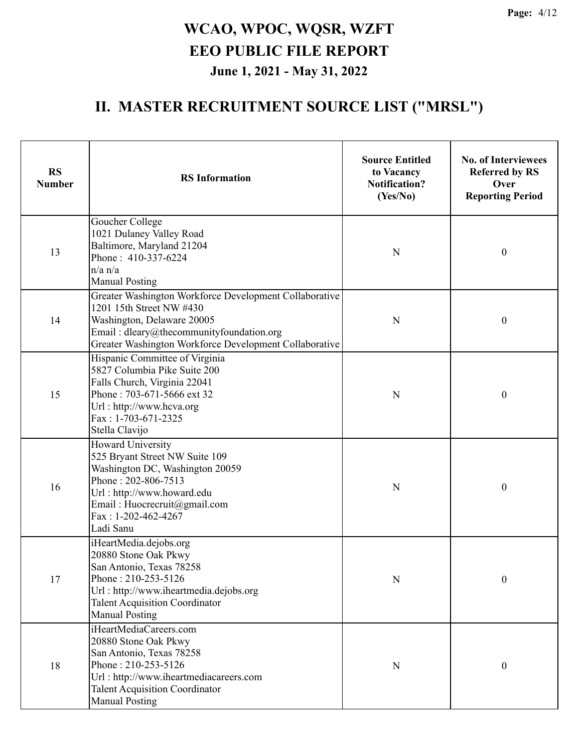| <b>RS</b><br><b>Number</b> | <b>RS</b> Information                                                                                                                                                                                                  | <b>Source Entitled</b><br>to Vacancy<br><b>Notification?</b><br>(Yes/No) | <b>No. of Interviewees</b><br><b>Referred by RS</b><br>Over<br><b>Reporting Period</b> |
|----------------------------|------------------------------------------------------------------------------------------------------------------------------------------------------------------------------------------------------------------------|--------------------------------------------------------------------------|----------------------------------------------------------------------------------------|
| 13                         | Goucher College<br>1021 Dulaney Valley Road<br>Baltimore, Maryland 21204<br>Phone: 410-337-6224<br>$n/a$ $n/a$<br><b>Manual Posting</b>                                                                                | N                                                                        | $\boldsymbol{0}$                                                                       |
| 14                         | Greater Washington Workforce Development Collaborative<br>1201 15th Street NW #430<br>Washington, Delaware 20005<br>Email: dleary@thecommunityfoundation.org<br>Greater Washington Workforce Development Collaborative | N                                                                        | $\boldsymbol{0}$                                                                       |
| 15                         | Hispanic Committee of Virginia<br>5827 Columbia Pike Suite 200<br>Falls Church, Virginia 22041<br>Phone: 703-671-5666 ext 32<br>Url: http://www.hcva.org<br>Fax: 1-703-671-2325<br>Stella Clavijo                      | N                                                                        | $\boldsymbol{0}$                                                                       |
| 16                         | Howard University<br>525 Bryant Street NW Suite 109<br>Washington DC, Washington 20059<br>Phone: 202-806-7513<br>Url: http://www.howard.edu<br>Email: Huocrecruit@gmail.com<br>$Fax: 1-202-462-4267$<br>Ladi Sanu      | N                                                                        | $\boldsymbol{0}$                                                                       |
| 17                         | iHeartMedia.dejobs.org<br>20880 Stone Oak Pkwy<br>San Antonio, Texas 78258<br>Phone: 210-253-5126<br>Url: http://www.iheartmedia.dejobs.org<br><b>Talent Acquisition Coordinator</b><br><b>Manual Posting</b>          | N                                                                        | $\boldsymbol{0}$                                                                       |
| 18                         | iHeartMediaCareers.com<br>20880 Stone Oak Pkwy<br>San Antonio, Texas 78258<br>Phone: 210-253-5126<br>Url: http://www.iheartmediacareers.com<br><b>Talent Acquisition Coordinator</b><br><b>Manual Posting</b>          | N                                                                        | $\mathbf{0}$                                                                           |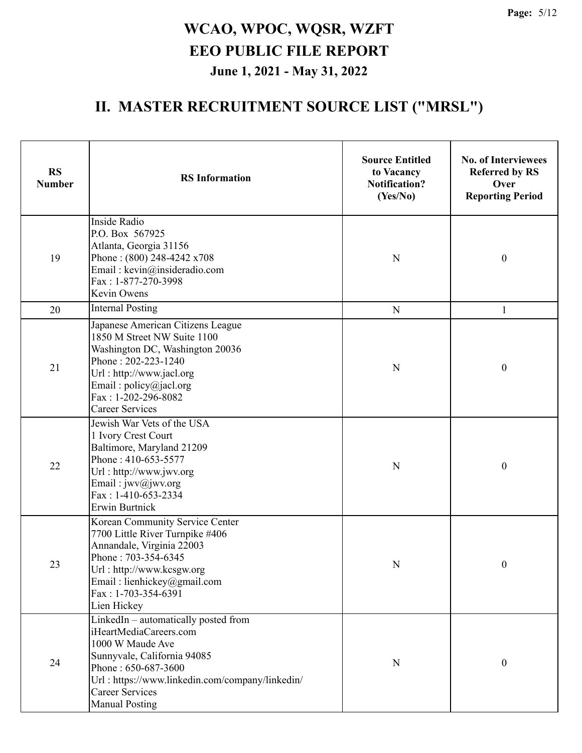| <b>RS</b><br><b>Number</b> | <b>RS</b> Information                                                                                                                                                                                                                          | <b>Source Entitled</b><br>to Vacancy<br><b>Notification?</b><br>(Yes/No) | <b>No. of Interviewees</b><br><b>Referred by RS</b><br>Over<br><b>Reporting Period</b> |
|----------------------------|------------------------------------------------------------------------------------------------------------------------------------------------------------------------------------------------------------------------------------------------|--------------------------------------------------------------------------|----------------------------------------------------------------------------------------|
| 19                         | Inside Radio<br>P.O. Box 567925<br>Atlanta, Georgia 31156<br>Phone: (800) 248-4242 x708<br>Email: kevin@insideradio.com<br>Fax: 1-877-270-3998<br>Kevin Owens                                                                                  | N                                                                        | $\boldsymbol{0}$                                                                       |
| 20                         | <b>Internal Posting</b>                                                                                                                                                                                                                        | $\mathbf N$                                                              | 1                                                                                      |
| 21                         | Japanese American Citizens League<br>1850 M Street NW Suite 1100<br>Washington DC, Washington 20036<br>Phone: 202-223-1240<br>Url: http://www.jacl.org<br>Email: policy@jacl.org<br>Fax: 1-202-296-8082<br><b>Career Services</b>              | N                                                                        | $\boldsymbol{0}$                                                                       |
| 22                         | Jewish War Vets of the USA<br>1 Ivory Crest Court<br>Baltimore, Maryland 21209<br>Phone: 410-653-5577<br>Url: http://www.jwv.org<br>Email: jwv@jwv.org<br>Fax: 1-410-653-2334<br>Erwin Burtnick                                                | N                                                                        | $\boldsymbol{0}$                                                                       |
| 23                         | Korean Community Service Center<br>7700 Little River Turnpike #406<br>Annandale, Virginia 22003<br>Phone: 703-354-6345<br>Url: http://www.kcsgw.org<br>Email: lienhickey@gmail.com<br>Fax: 1-703-354-6391<br>Lien Hickey                       | N                                                                        | $\boldsymbol{0}$                                                                       |
| 24                         | LinkedIn - automatically posted from<br>iHeartMediaCareers.com<br>1000 W Maude Ave<br>Sunnyvale, California 94085<br>Phone: 650-687-3600<br>Url: https://www.linkedin.com/company/linkedin/<br><b>Career Services</b><br><b>Manual Posting</b> | N                                                                        | $\boldsymbol{0}$                                                                       |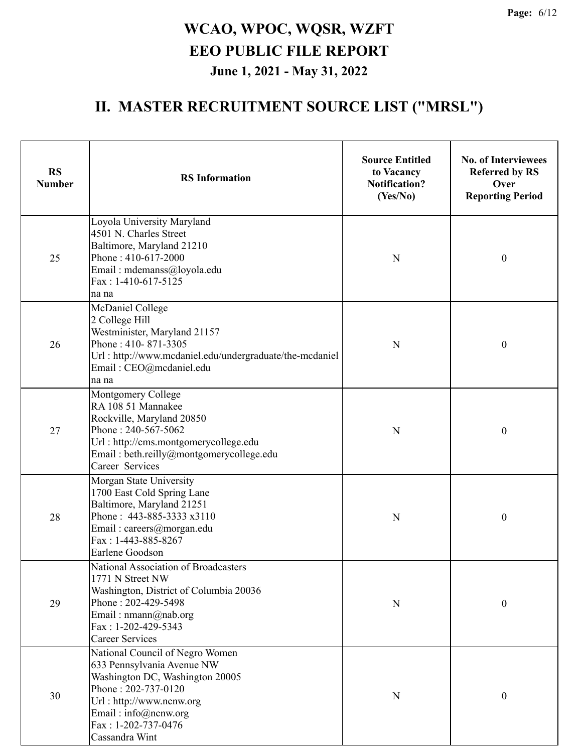| <b>RS</b><br><b>Number</b> | <b>RS</b> Information                                                                                                                                                                                                | <b>Source Entitled</b><br>to Vacancy<br><b>Notification?</b><br>(Yes/No) | <b>No. of Interviewees</b><br><b>Referred by RS</b><br>Over<br><b>Reporting Period</b> |
|----------------------------|----------------------------------------------------------------------------------------------------------------------------------------------------------------------------------------------------------------------|--------------------------------------------------------------------------|----------------------------------------------------------------------------------------|
| 25                         | Loyola University Maryland<br>4501 N. Charles Street<br>Baltimore, Maryland 21210<br>Phone: 410-617-2000<br>Email: mdemanss@loyola.edu<br>$Fax: 1-410-617-5125$<br>na na                                             | ${\bf N}$                                                                | $\boldsymbol{0}$                                                                       |
| 26                         | McDaniel College<br>2 College Hill<br>Westminister, Maryland 21157<br>Phone: 410-871-3305<br>Url: http://www.mcdaniel.edu/undergraduate/the-mcdaniel<br>Email: CEO@mcdaniel.edu<br>na na                             | N                                                                        | $\boldsymbol{0}$                                                                       |
| 27                         | Montgomery College<br>RA 108 51 Mannakee<br>Rockville, Maryland 20850<br>Phone: 240-567-5062<br>Url: http://cms.montgomerycollege.edu<br>Email: beth.reilly@montgomerycollege.edu<br>Career Services                 | N                                                                        | $\boldsymbol{0}$                                                                       |
| 28                         | Morgan State University<br>1700 East Cold Spring Lane<br>Baltimore, Maryland 21251<br>Phone: 443-885-3333 x3110<br>Email: careers@morgan.edu<br>Fax: 1-443-885-8267<br>Earlene Goodson                               | N                                                                        | $\boldsymbol{0}$                                                                       |
| 29                         | National Association of Broadcasters<br>1771 N Street NW<br>Washington, District of Columbia 20036<br>Phone: 202-429-5498<br>Email: nmann@nab.org<br>Fax: 1-202-429-5343<br><b>Career Services</b>                   | $\mathbf N$                                                              | $\boldsymbol{0}$                                                                       |
| 30                         | National Council of Negro Women<br>633 Pennsylvania Avenue NW<br>Washington DC, Washington 20005<br>Phone: 202-737-0120<br>Url: http://www.ncnw.org<br>Email: info@ncnw.org<br>Fax: 1-202-737-0476<br>Cassandra Wint | N                                                                        | $\boldsymbol{0}$                                                                       |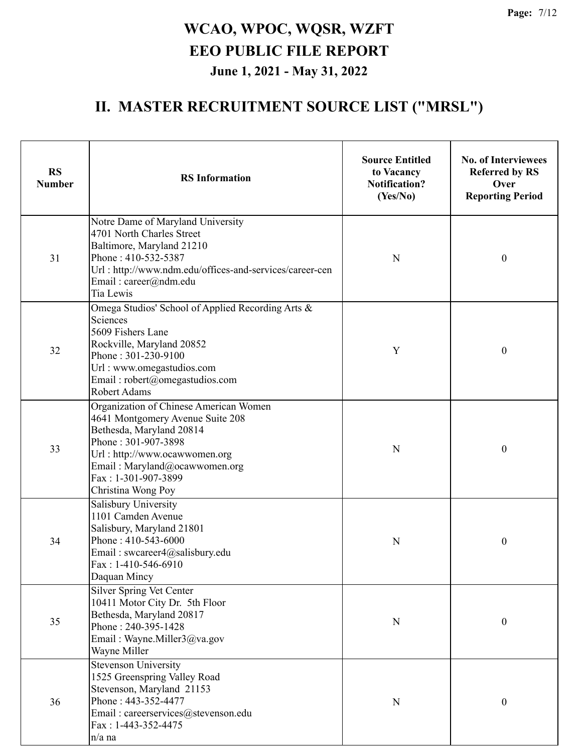| <b>RS</b><br><b>Number</b> | <b>RS</b> Information                                                                                                                                                                                                                        | <b>Source Entitled</b><br>to Vacancy<br><b>Notification?</b><br>(Yes/No) | <b>No. of Interviewees</b><br><b>Referred by RS</b><br>Over<br><b>Reporting Period</b> |  |
|----------------------------|----------------------------------------------------------------------------------------------------------------------------------------------------------------------------------------------------------------------------------------------|--------------------------------------------------------------------------|----------------------------------------------------------------------------------------|--|
| 31                         | Notre Dame of Maryland University<br>4701 North Charles Street<br>Baltimore, Maryland 21210<br>Phone: 410-532-5387<br>Url: http://www.ndm.edu/offices-and-services/career-cen<br>Email: career@ndm.edu<br>Tia Lewis                          | $\mathbf N$                                                              | $\boldsymbol{0}$                                                                       |  |
| 32                         | Omega Studios' School of Applied Recording Arts &<br>Sciences<br>5609 Fishers Lane<br>Rockville, Maryland 20852<br>Phone: 301-230-9100<br>Url: www.omegastudios.com<br>Email: robert@omegastudios.com<br>Robert Adams                        | Y                                                                        | $\boldsymbol{0}$                                                                       |  |
| 33                         | Organization of Chinese American Women<br>4641 Montgomery Avenue Suite 208<br>Bethesda, Maryland 20814<br>Phone: 301-907-3898<br>Url: http://www.ocawwomen.org<br>Email: Maryland@ocawwomen.org<br>Fax: 1-301-907-3899<br>Christina Wong Poy | N                                                                        | $\boldsymbol{0}$                                                                       |  |
| 34                         | Salisbury University<br>1101 Camden Avenue<br>Salisbury, Maryland 21801<br>Phone: 410-543-6000<br>Email: swcareer4@salisbury.edu<br>$Fax: 1-410-546-6910$<br>Daquan Mincy                                                                    | N                                                                        | $\boldsymbol{0}$                                                                       |  |
| 35                         | <b>Silver Spring Vet Center</b><br>10411 Motor City Dr. 5th Floor<br>Bethesda, Maryland 20817<br>Phone: 240-395-1428<br>Email: Wayne.Miller3@va.gov<br>Wayne Miller                                                                          | ${\bf N}$                                                                | $\mathbf{0}$                                                                           |  |
| 36                         | Stevenson University<br>1525 Greenspring Valley Road<br>Stevenson, Maryland 21153<br>Phone: 443-352-4477<br>Email: careerservices@stevenson.edu<br>Fax: 1-443-352-4475<br>n/a na                                                             | ${\bf N}$                                                                | 0                                                                                      |  |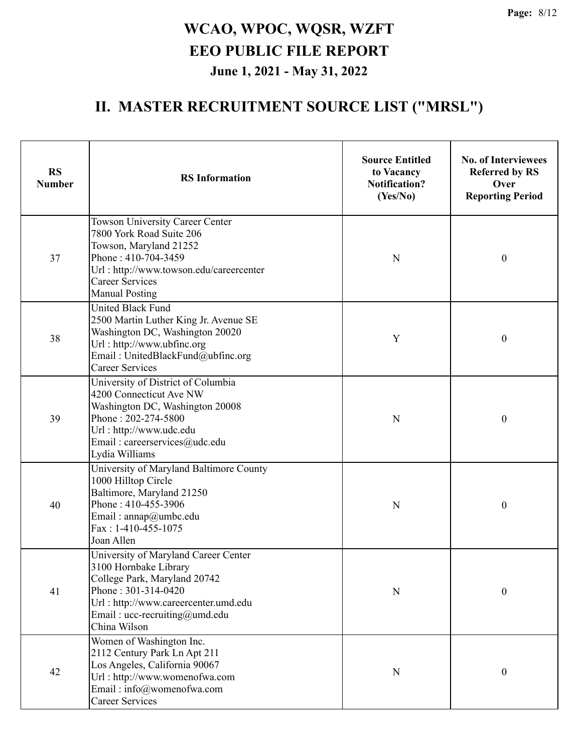| <b>RS</b><br><b>Number</b> | <b>RS</b> Information                                                                                                                                                                                         | <b>Source Entitled</b><br>to Vacancy<br><b>Notification?</b><br>(Yes/No) | <b>No. of Interviewees</b><br><b>Referred by RS</b><br>Over<br><b>Reporting Period</b> |
|----------------------------|---------------------------------------------------------------------------------------------------------------------------------------------------------------------------------------------------------------|--------------------------------------------------------------------------|----------------------------------------------------------------------------------------|
| 37                         | Towson University Career Center<br>7800 York Road Suite 206<br>Towson, Maryland 21252<br>Phone: 410-704-3459<br>Url: http://www.towson.edu/careercenter<br><b>Career Services</b><br><b>Manual Posting</b>    | N                                                                        | $\boldsymbol{0}$                                                                       |
| 38                         | <b>United Black Fund</b><br>2500 Martin Luther King Jr. Avenue SE<br>Washington DC, Washington 20020<br>Url: http://www.ubfinc.org<br>Email: UnitedBlackFund@ubfinc.org<br><b>Career Services</b>             | Y                                                                        | $\boldsymbol{0}$                                                                       |
| 39                         | University of District of Columbia<br>4200 Connecticut Ave NW<br>Washington DC, Washington 20008<br>Phone: 202-274-5800<br>Url: http://www.udc.edu<br>Email: careerservices@udc.edu<br>Lydia Williams         | N                                                                        | $\boldsymbol{0}$                                                                       |
| 40                         | University of Maryland Baltimore County<br>1000 Hilltop Circle<br>Baltimore, Maryland 21250<br>Phone: 410-455-3906<br>Email: annap@umbc.edu<br>Fax: 1-410-455-1075<br>Joan Allen                              | N                                                                        | $\boldsymbol{0}$                                                                       |
| 41                         | University of Maryland Career Center<br>3100 Hornbake Library<br>College Park, Maryland 20742<br>Phone: 301-314-0420<br>Url: http://www.careercenter.umd.edu<br>Email: ucc-recruiting@umd.edu<br>China Wilson | N                                                                        | $\boldsymbol{0}$                                                                       |
| 42                         | Women of Washington Inc.<br>2112 Century Park Ln Apt 211<br>Los Angeles, California 90067<br>Url: http://www.womenofwa.com<br>Email: info@womenofwa.com<br><b>Career Services</b>                             | N                                                                        | $\boldsymbol{0}$                                                                       |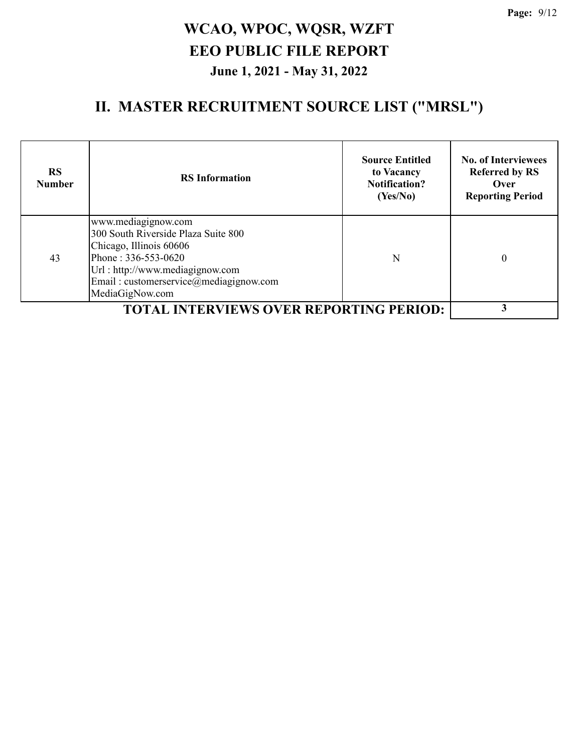| <b>RS</b><br><b>Number</b> | <b>RS</b> Information                                                                                                                                                                                        | <b>Source Entitled</b><br>to Vacancy<br><b>Notification?</b><br>(Yes/No) | <b>No. of Interviewees</b><br><b>Referred by RS</b><br>Over<br><b>Reporting Period</b> |
|----------------------------|--------------------------------------------------------------------------------------------------------------------------------------------------------------------------------------------------------------|--------------------------------------------------------------------------|----------------------------------------------------------------------------------------|
| 43                         | www.mediagignow.com<br>300 South Riverside Plaza Suite 800<br>Chicago, Illinois 60606<br>Phone: 336-553-0620<br>Url: http://www.mediagignow.com<br>Email: customerservice@mediagignow.com<br>MediaGigNow.com | N                                                                        | 0                                                                                      |
|                            | <b>TOTAL INTERVIEWS OVER REPORTING PERIOD:</b>                                                                                                                                                               |                                                                          |                                                                                        |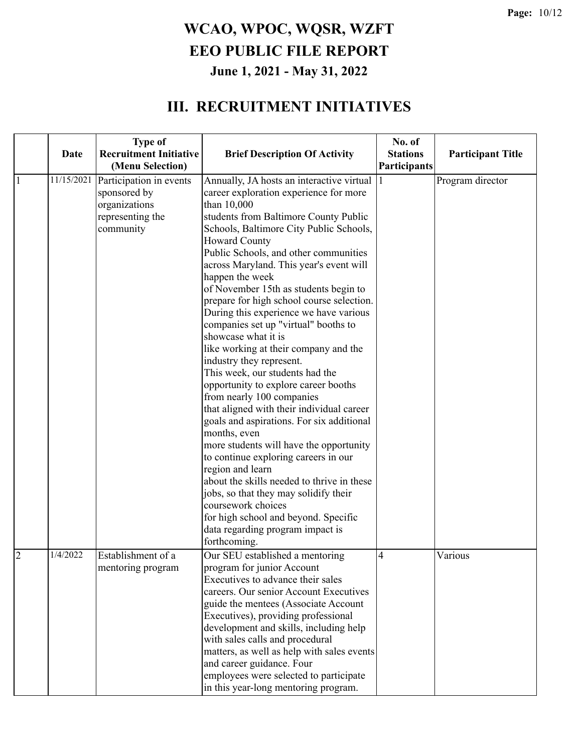#### **III. RECRUITMENT INITIATIVES**

|                | Date       | <b>Type of</b><br><b>Recruitment Initiative</b><br>(Menu Selection)                       | <b>Brief Description Of Activity</b>                                                                                                                                                                                                                                                                                                                                                                                                                                                                                                                                                                                                                                                                                                                                                                                                                                                                                                                                                                                                                                                                                        | No. of<br><b>Stations</b><br>Participants | <b>Participant Title</b> |
|----------------|------------|-------------------------------------------------------------------------------------------|-----------------------------------------------------------------------------------------------------------------------------------------------------------------------------------------------------------------------------------------------------------------------------------------------------------------------------------------------------------------------------------------------------------------------------------------------------------------------------------------------------------------------------------------------------------------------------------------------------------------------------------------------------------------------------------------------------------------------------------------------------------------------------------------------------------------------------------------------------------------------------------------------------------------------------------------------------------------------------------------------------------------------------------------------------------------------------------------------------------------------------|-------------------------------------------|--------------------------|
| 1              | 11/15/2021 | Participation in events<br>sponsored by<br>organizations<br>representing the<br>community | Annually, JA hosts an interactive virtual<br>career exploration experience for more<br>than 10,000<br>students from Baltimore County Public<br>Schools, Baltimore City Public Schools,<br><b>Howard County</b><br>Public Schools, and other communities<br>across Maryland. This year's event will<br>happen the week<br>of November 15th as students begin to<br>prepare for high school course selection.<br>During this experience we have various<br>companies set up "virtual" booths to<br>showcase what it is<br>like working at their company and the<br>industry they represent.<br>This week, our students had the<br>opportunity to explore career booths<br>from nearly 100 companies<br>that aligned with their individual career<br>goals and aspirations. For six additional<br>months, even<br>more students will have the opportunity<br>to continue exploring careers in our<br>region and learn<br>about the skills needed to thrive in these<br>jobs, so that they may solidify their<br>coursework choices<br>for high school and beyond. Specific<br>data regarding program impact is<br>forthcoming. |                                           | Program director         |
| $\overline{2}$ | 1/4/2022   | Establishment of a<br>mentoring program                                                   | Our SEU established a mentoring<br>program for junior Account<br>Executives to advance their sales<br>careers. Our senior Account Executives<br>guide the mentees (Associate Account<br>Executives), providing professional<br>development and skills, including help<br>with sales calls and procedural<br>matters, as well as help with sales events<br>and career guidance. Four<br>employees were selected to participate<br>in this year-long mentoring program.                                                                                                                                                                                                                                                                                                                                                                                                                                                                                                                                                                                                                                                       | $\overline{4}$                            | Various                  |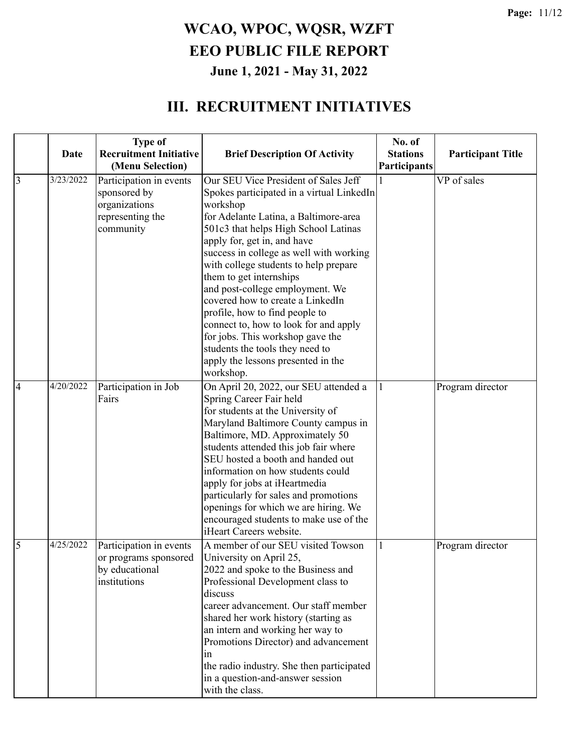#### **III. RECRUITMENT INITIATIVES**

|                | Date      | <b>Type of</b><br><b>Recruitment Initiative</b><br>(Menu Selection)                | <b>Brief Description Of Activity</b>                                                                                                                                                                                                                                                                                                                                                                                                                                                                   | No. of<br><b>Stations</b><br>Participants | <b>Participant Title</b> |
|----------------|-----------|------------------------------------------------------------------------------------|--------------------------------------------------------------------------------------------------------------------------------------------------------------------------------------------------------------------------------------------------------------------------------------------------------------------------------------------------------------------------------------------------------------------------------------------------------------------------------------------------------|-------------------------------------------|--------------------------|
| $\overline{3}$ | 3/23/2022 | Participation in events                                                            | Our SEU Vice President of Sales Jeff                                                                                                                                                                                                                                                                                                                                                                                                                                                                   |                                           | VP of sales              |
|                |           | sponsored by<br>organizations<br>representing the                                  | Spokes participated in a virtual LinkedIn<br>workshop<br>for Adelante Latina, a Baltimore-area                                                                                                                                                                                                                                                                                                                                                                                                         |                                           |                          |
|                |           | community                                                                          | 501c3 that helps High School Latinas<br>apply for, get in, and have<br>success in college as well with working<br>with college students to help prepare<br>them to get internships<br>and post-college employment. We<br>covered how to create a LinkedIn<br>profile, how to find people to<br>connect to, how to look for and apply<br>for jobs. This workshop gave the<br>students the tools they need to<br>apply the lessons presented in the                                                      |                                           |                          |
| $\overline{4}$ | 4/20/2022 | Participation in Job<br>Fairs                                                      | workshop.<br>On April 20, 2022, our SEU attended a<br>Spring Career Fair held<br>for students at the University of<br>Maryland Baltimore County campus in<br>Baltimore, MD. Approximately 50<br>students attended this job fair where<br>SEU hosted a booth and handed out<br>information on how students could<br>apply for jobs at iHeartmedia<br>particularly for sales and promotions<br>openings for which we are hiring. We<br>encouraged students to make use of the<br>iHeart Careers website. |                                           | Program director         |
| 5              | 4/25/2022 | Participation in events<br>or programs sponsored<br>by educational<br>institutions | A member of our SEU visited Towson<br>University on April 25,<br>2022 and spoke to the Business and<br>Professional Development class to<br>discuss<br>career advancement. Our staff member<br>shared her work history (starting as<br>an intern and working her way to<br>Promotions Director) and advancement<br>1n<br>the radio industry. She then participated<br>in a question-and-answer session<br>with the class.                                                                              |                                           | Program director         |